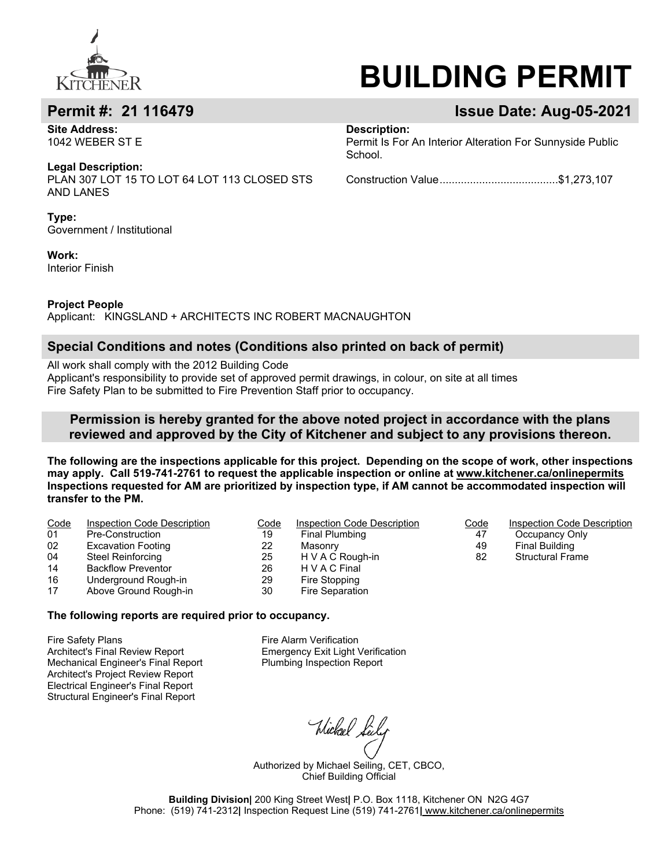

**Site Address:**  1042 WEBER ST E

**Legal Description:**

PLAN 307 LOT 15 TO LOT 64 LOT 113 CLOSED STS AND LANES

**Type:** Government / Institutional

**Work:** Interior Finish

# **BUILDING PERMIT**

## **Permit #: 21 116479 Issue Date: Aug-05-2021**

**Description:** 

Permit Is For An Interior Alteration For Sunnyside Public School.

Construction Value.......................................\$1,273,107

**Project People**

Applicant: KINGSLAND + ARCHITECTS INC ROBERT MACNAUGHTON

#### **Special Conditions and notes (Conditions also printed on back of permit)**

All work shall comply with the 2012 Building Code

Applicant's responsibility to provide set of approved permit drawings, in colour, on site at all times Fire Safety Plan to be submitted to Fire Prevention Staff prior to occupancy.

### **Permission is hereby granted for the above noted project in accordance with the plans reviewed and approved by the City of Kitchener and subject to any provisions thereon.**

**The following are the inspections applicable for this project. Depending on the scope of work, other inspections may apply. Call 519-741-2761 to request the applicable inspection or online at www.kitchener.ca/onlinepermits Inspections requested for AM are prioritized by inspection type, if AM cannot be accommodated inspection will transfer to the PM.**

| Code | Inspection Code Description | Code | Inspection Code Description | Code | Inspection Code Description |
|------|-----------------------------|------|-----------------------------|------|-----------------------------|
| 01   | Pre-Construction            | 19   | Final Plumbing              | 47   | Occupancy Only              |
| 02   | <b>Excavation Footing</b>   | 22   | Masonry                     | 49   | Final Building              |
| 04   | Steel Reinforcing           | 25   | H V A C Rough-in            | 82   | <b>Structural Frame</b>     |
| 14   | <b>Backflow Preventor</b>   | 26   | H V A C Final               |      |                             |
| 16   | Underground Rough-in        | 29   | Fire Stopping               |      |                             |
| 17   | Above Ground Rough-in       | 30   | Fire Separation             |      |                             |

#### **The following reports are required prior to occupancy.**

Fire Safety Plans Architect's Final Review Report Mechanical Engineer's Final Report Architect's Project Review Report Electrical Engineer's Final Report Structural Engineer's Final Report

Fire Alarm Verification Emergency Exit Light Verification Plumbing Inspection Report

Wickael Leily

Authorized by Michael Seiling, CET, CBCO, Chief Building Official